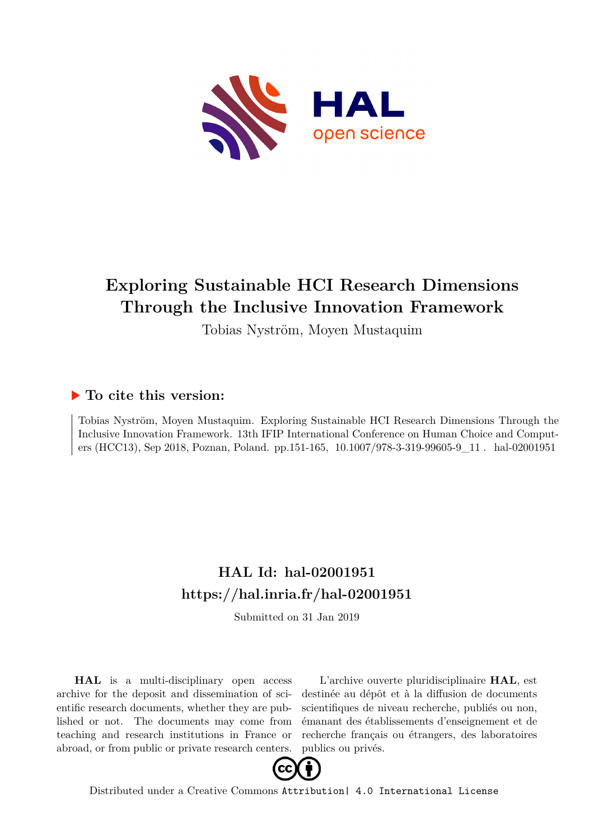

# **Exploring Sustainable HCI Research Dimensions Through the Inclusive Innovation Framework**

Tobias Nyström, Moyen Mustaquim

# **To cite this version:**

Tobias Nyström, Moyen Mustaquim. Exploring Sustainable HCI Research Dimensions Through the Inclusive Innovation Framework. 13th IFIP International Conference on Human Choice and Computers (HCC13), Sep 2018, Poznan, Poland. pp.151-165, 10.1007/978-3-319-99605-9\_11. hal-02001951

# **HAL Id: hal-02001951 <https://hal.inria.fr/hal-02001951>**

Submitted on 31 Jan 2019

**HAL** is a multi-disciplinary open access archive for the deposit and dissemination of scientific research documents, whether they are published or not. The documents may come from teaching and research institutions in France or abroad, or from public or private research centers.

L'archive ouverte pluridisciplinaire **HAL**, est destinée au dépôt et à la diffusion de documents scientifiques de niveau recherche, publiés ou non, émanant des établissements d'enseignement et de recherche français ou étrangers, des laboratoires publics ou privés.



Distributed under a Creative Commons [Attribution| 4.0 International License](http://creativecommons.org/licenses/by/4.0/)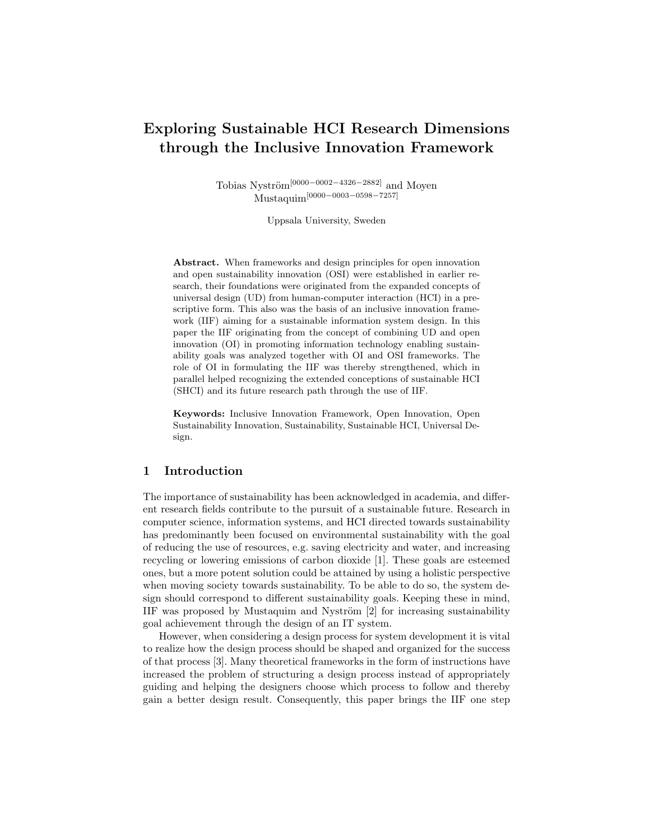# Exploring Sustainable HCI Research Dimensions through the Inclusive Innovation Framework

Tobias Nyström<sup>[0000–0002–4326–2882]</sup> and Moyen Mustaquim[0000−0003−0598−7257]

Uppsala University, Sweden

Abstract. When frameworks and design principles for open innovation and open sustainability innovation (OSI) were established in earlier research, their foundations were originated from the expanded concepts of universal design (UD) from human-computer interaction (HCI) in a prescriptive form. This also was the basis of an inclusive innovation framework (IIF) aiming for a sustainable information system design. In this paper the IIF originating from the concept of combining UD and open innovation (OI) in promoting information technology enabling sustainability goals was analyzed together with OI and OSI frameworks. The role of OI in formulating the IIF was thereby strengthened, which in parallel helped recognizing the extended conceptions of sustainable HCI (SHCI) and its future research path through the use of IIF.

Keywords: Inclusive Innovation Framework, Open Innovation, Open Sustainability Innovation, Sustainability, Sustainable HCI, Universal Design.

## 1 Introduction

The importance of sustainability has been acknowledged in academia, and different research fields contribute to the pursuit of a sustainable future. Research in computer science, information systems, and HCI directed towards sustainability has predominantly been focused on environmental sustainability with the goal of reducing the use of resources, e.g. saving electricity and water, and increasing recycling or lowering emissions of carbon dioxide [\[1\]](#page-13-0). These goals are esteemed ones, but a more potent solution could be attained by using a holistic perspective when moving society towards sustainability. To be able to do so, the system design should correspond to different sustainability goals. Keeping these in mind, IIF was proposed by Mustaquim and Nyström  $[2]$  for increasing sustainability goal achievement through the design of an IT system.

However, when considering a design process for system development it is vital to realize how the design process should be shaped and organized for the success of that process [\[3\]](#page-13-2). Many theoretical frameworks in the form of instructions have increased the problem of structuring a design process instead of appropriately guiding and helping the designers choose which process to follow and thereby gain a better design result. Consequently, this paper brings the IIF one step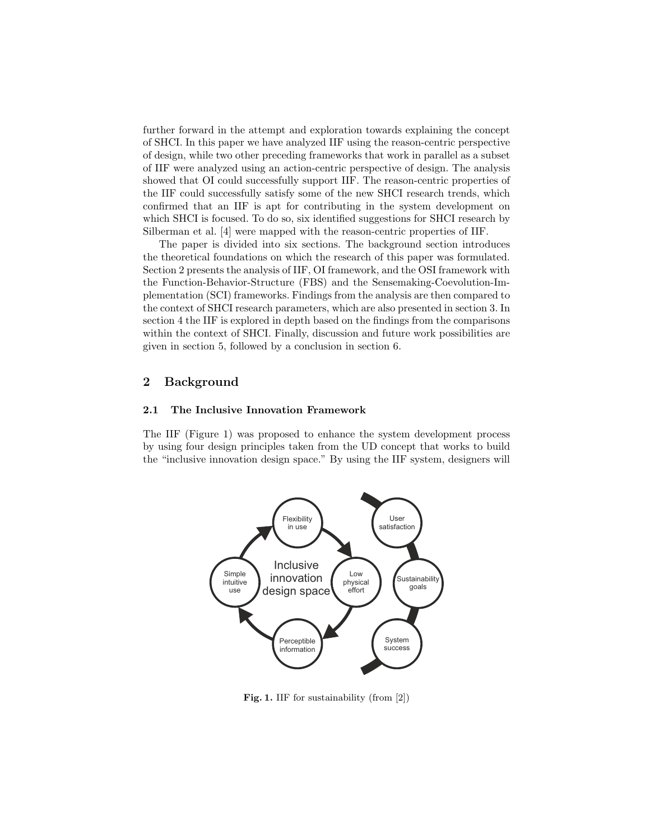further forward in the attempt and exploration towards explaining the concept of SHCI. In this paper we have analyzed IIF using the reason-centric perspective of design, while two other preceding frameworks that work in parallel as a subset of IIF were analyzed using an action-centric perspective of design. The analysis showed that OI could successfully support IIF. The reason-centric properties of the IIF could successfully satisfy some of the new SHCI research trends, which confirmed that an IIF is apt for contributing in the system development on which SHCI is focused. To do so, six identified suggestions for SHCI research by Silberman et al. [\[4\]](#page-13-3) were mapped with the reason-centric properties of IIF.

The paper is divided into six sections. The background section introduces the theoretical foundations on which the research of this paper was formulated. Section [2](#page-2-0) presents the analysis of IIF, OI framework, and the OSI framework with the Function-Behavior-Structure (FBS) and the Sensemaking-Coevolution-Implementation (SCI) frameworks. Findings from the analysis are then compared to the context of SHCI research parameters, which are also presented in [section 3.](#page-5-0) In [section 4](#page-10-0) the IIF is explored in depth based on the findings from the comparisons within the context of SHCI. Finally, discussion and future work possibilities are given in [section 5,](#page-11-0) followed by a conclusion in [section 6.](#page-13-4)

# <span id="page-2-0"></span>2 Background

#### <span id="page-2-2"></span>2.1 The Inclusive Innovation Framework

The IIF [\(Figure 1\)](#page-2-1) was proposed to enhance the system development process by using four design principles taken from the UD concept that works to build the "inclusive innovation design space." By using the IIF system, designers will



<span id="page-2-1"></span>Fig. 1. IIF for sustainability (from [\[2\]](#page-13-1))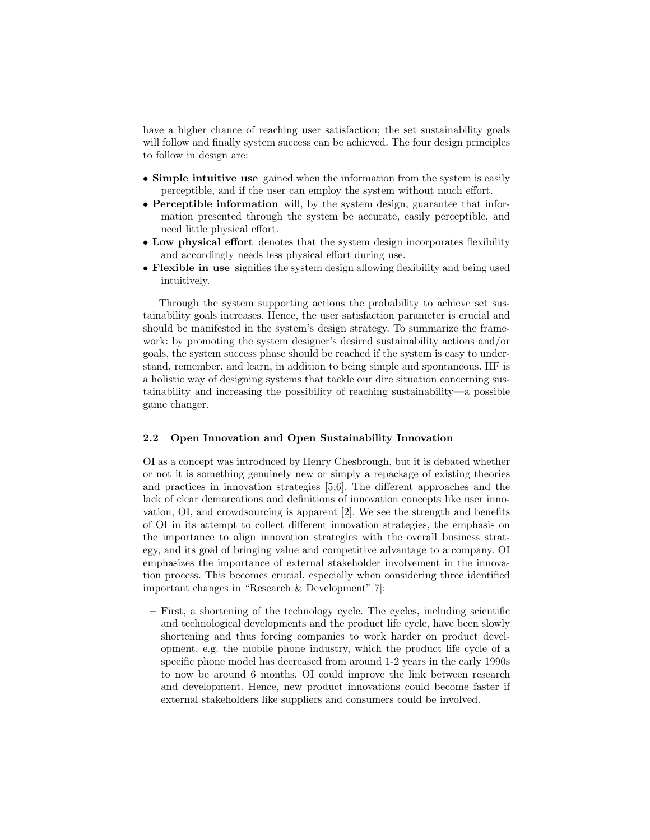have a higher chance of reaching user satisfaction; the set sustainability goals will follow and finally system success can be achieved. The four design principles to follow in design are:

- Simple intuitive use gained when the information from the system is easily perceptible, and if the user can employ the system without much effort.
- Perceptible information will, by the system design, guarantee that information presented through the system be accurate, easily perceptible, and need little physical effort.
- Low physical effort denotes that the system design incorporates flexibility and accordingly needs less physical effort during use.
- Flexible in use signifies the system design allowing flexibility and being used intuitively.

Through the system supporting actions the probability to achieve set sustainability goals increases. Hence, the user satisfaction parameter is crucial and should be manifested in the system's design strategy. To summarize the framework: by promoting the system designer's desired sustainability actions and/or goals, the system success phase should be reached if the system is easy to understand, remember, and learn, in addition to being simple and spontaneous. IIF is a holistic way of designing systems that tackle our dire situation concerning sustainability and increasing the possibility of reaching sustainability—a possible game changer.

#### 2.2 Open Innovation and Open Sustainability Innovation

OI as a concept was introduced by Henry Chesbrough, but it is debated whether or not it is something genuinely new or simply a repackage of existing theories and practices in innovation strategies [\[5,](#page-13-5)[6\]](#page-13-6). The different approaches and the lack of clear demarcations and definitions of innovation concepts like user innovation, OI, and crowdsourcing is apparent [\[2\]](#page-13-1). We see the strength and benefits of OI in its attempt to collect different innovation strategies, the emphasis on the importance to align innovation strategies with the overall business strategy, and its goal of bringing value and competitive advantage to a company. OI emphasizes the importance of external stakeholder involvement in the innovation process. This becomes crucial, especially when considering three identified important changes in "Research & Development"[\[7\]](#page-14-0):

 $-$  First, a shortening of the technology cycle. The cycles, including scientific and technological developments and the product life cycle, have been slowly shortening and thus forcing companies to work harder on product development, e.g. the mobile phone industry, which the product life cycle of a specific phone model has decreased from around 1-2 years in the early 1990s to now be around 6 months. OI could improve the link between research and development. Hence, new product innovations could become faster if external stakeholders like suppliers and consumers could be involved.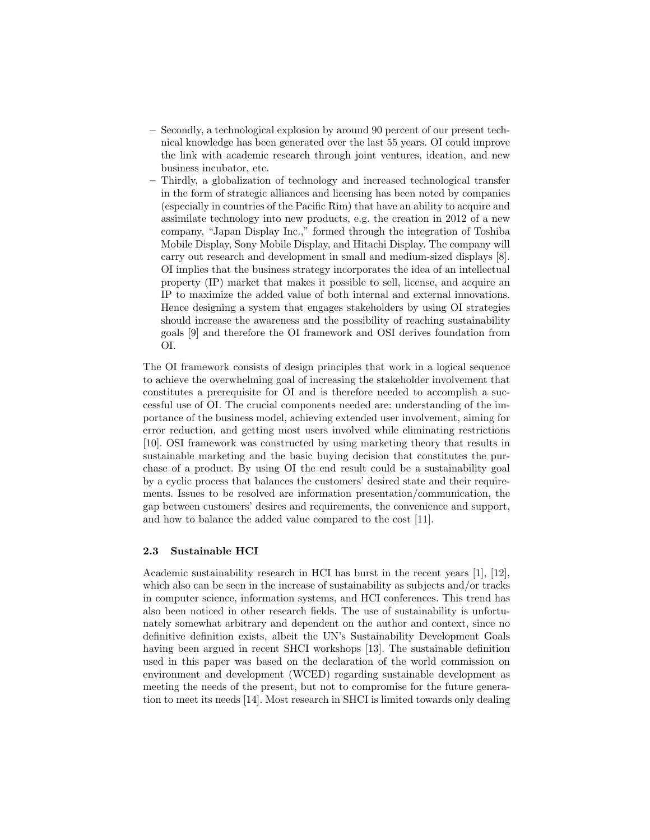- Secondly, a technological explosion by around 90 percent of our present technical knowledge has been generated over the last 55 years. OI could improve the link with academic research through joint ventures, ideation, and new business incubator, etc.
- Thirdly, a globalization of technology and increased technological transfer in the form of strategic alliances and licensing has been noted by companies (especially in countries of the Pacific Rim) that have an ability to acquire and assimilate technology into new products, e.g. the creation in 2012 of a new company, "Japan Display Inc.," formed through the integration of Toshiba Mobile Display, Sony Mobile Display, and Hitachi Display. The company will carry out research and development in small and medium-sized displays [\[8\]](#page-14-1). OI implies that the business strategy incorporates the idea of an intellectual property (IP) market that makes it possible to sell, license, and acquire an IP to maximize the added value of both internal and external innovations. Hence designing a system that engages stakeholders by using OI strategies should increase the awareness and the possibility of reaching sustainability goals [\[9\]](#page-14-2) and therefore the OI framework and OSI derives foundation from OI.

The OI framework consists of design principles that work in a logical sequence to achieve the overwhelming goal of increasing the stakeholder involvement that constitutes a prerequisite for OI and is therefore needed to accomplish a successful use of OI. The crucial components needed are: understanding of the importance of the business model, achieving extended user involvement, aiming for error reduction, and getting most users involved while eliminating restrictions [\[10\]](#page-14-3). OSI framework was constructed by using marketing theory that results in sustainable marketing and the basic buying decision that constitutes the purchase of a product. By using OI the end result could be a sustainability goal by a cyclic process that balances the customers' desired state and their requirements. Issues to be resolved are information presentation/communication, the gap between customers' desires and requirements, the convenience and support, and how to balance the added value compared to the cost [\[11\]](#page-14-4).

#### 2.3 Sustainable HCI

Academic sustainability research in HCI has burst in the recent years [\[1\]](#page-13-0), [\[12\]](#page-14-5), which also can be seen in the increase of sustainability as subjects and/or tracks in computer science, information systems, and HCI conferences. This trend has also been noticed in other research fields. The use of sustainability is unfortunately somewhat arbitrary and dependent on the author and context, since no definitive definition exists, albeit the UN's Sustainability Development Goals having been argued in recent SHCI workshops [\[13\]](#page-14-6). The sustainable definition used in this paper was based on the declaration of the world commission on environment and development (WCED) regarding sustainable development as meeting the needs of the present, but not to compromise for the future generation to meet its needs [\[14\]](#page-14-7). Most research in SHCI is limited towards only dealing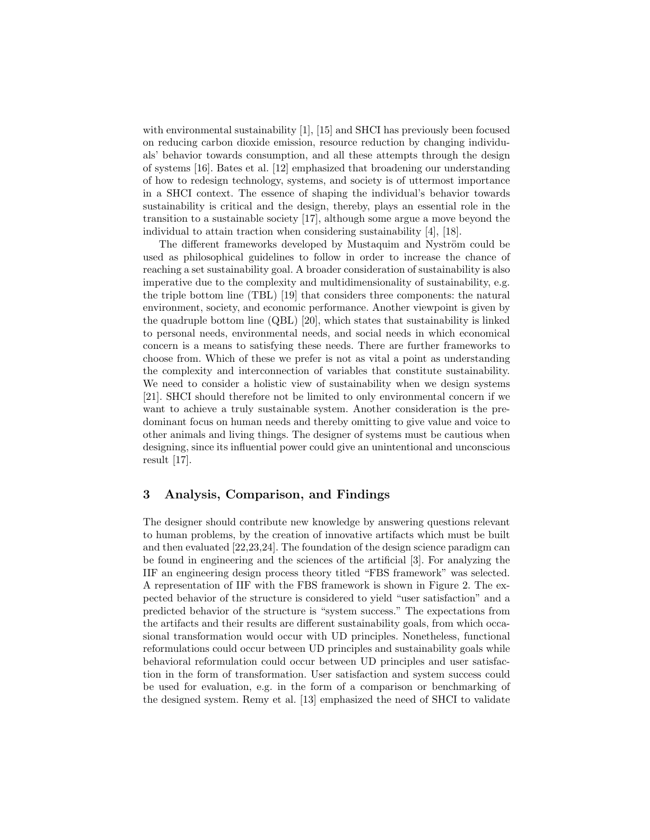with environmental sustainability [\[1\]](#page-13-0), [\[15\]](#page-14-8) and SHCI has previously been focused on reducing carbon dioxide emission, resource reduction by changing individuals' behavior towards consumption, and all these attempts through the design of systems [\[16\]](#page-14-9). Bates et al. [\[12\]](#page-14-5) emphasized that broadening our understanding of how to redesign technology, systems, and society is of uttermost importance in a SHCI context. The essence of shaping the individual's behavior towards sustainability is critical and the design, thereby, plays an essential role in the transition to a sustainable society [\[17\]](#page-14-10), although some argue a move beyond the individual to attain traction when considering sustainability [\[4\]](#page-13-3), [\[18\]](#page-14-11).

The different frameworks developed by Mustaquim and Nyström could be used as philosophical guidelines to follow in order to increase the chance of reaching a set sustainability goal. A broader consideration of sustainability is also imperative due to the complexity and multidimensionality of sustainability, e.g. the triple bottom line (TBL) [\[19\]](#page-14-12) that considers three components: the natural environment, society, and economic performance. Another viewpoint is given by the quadruple bottom line (QBL) [\[20\]](#page-14-13), which states that sustainability is linked to personal needs, environmental needs, and social needs in which economical concern is a means to satisfying these needs. There are further frameworks to choose from. Which of these we prefer is not as vital a point as understanding the complexity and interconnection of variables that constitute sustainability. We need to consider a holistic view of sustainability when we design systems [\[21\]](#page-14-14). SHCI should therefore not be limited to only environmental concern if we want to achieve a truly sustainable system. Another consideration is the predominant focus on human needs and thereby omitting to give value and voice to other animals and living things. The designer of systems must be cautious when designing, since its influential power could give an unintentional and unconscious result [\[17\]](#page-14-10).

## <span id="page-5-0"></span>3 Analysis, Comparison, and Findings

The designer should contribute new knowledge by answering questions relevant to human problems, by the creation of innovative artifacts which must be built and then evaluated [\[22](#page-14-15)[,23](#page-15-0)[,24\]](#page-15-1). The foundation of the design science paradigm can be found in engineering and the sciences of the artificial [\[3\]](#page-13-2). For analyzing the IIF an engineering design process theory titled "FBS framework" was selected. A representation of IIF with the FBS framework is shown in [Figure 2.](#page-6-0) The expected behavior of the structure is considered to yield "user satisfaction" and a predicted behavior of the structure is "system success." The expectations from the artifacts and their results are different sustainability goals, from which occasional transformation would occur with UD principles. Nonetheless, functional reformulations could occur between UD principles and sustainability goals while behavioral reformulation could occur between UD principles and user satisfaction in the form of transformation. User satisfaction and system success could be used for evaluation, e.g. in the form of a comparison or benchmarking of the designed system. Remy et al. [\[13\]](#page-14-6) emphasized the need of SHCI to validate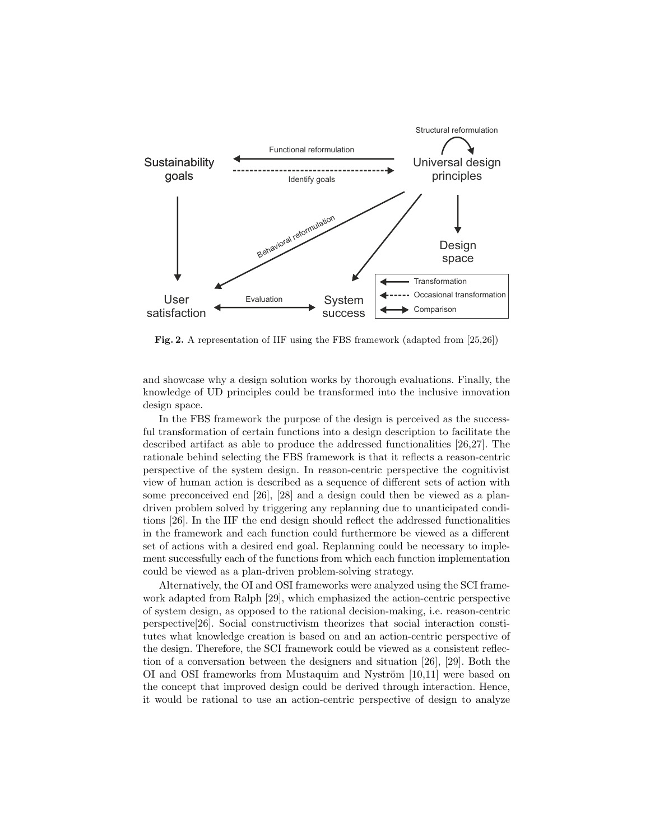

<span id="page-6-0"></span>Fig. 2. A representation of IIF using the FBS framework (adapted from [\[25](#page-15-2)[,26\]](#page-15-3))

and showcase why a design solution works by thorough evaluations. Finally, the knowledge of UD principles could be transformed into the inclusive innovation design space.

In the FBS framework the purpose of the design is perceived as the successful transformation of certain functions into a design description to facilitate the described artifact as able to produce the addressed functionalities [\[26](#page-15-3)[,27\]](#page-15-4). The rationale behind selecting the FBS framework is that it reflects a reason-centric perspective of the system design. In reason-centric perspective the cognitivist view of human action is described as a sequence of different sets of action with some preconceived end [\[26\]](#page-15-3), [\[28\]](#page-15-5) and a design could then be viewed as a plandriven problem solved by triggering any replanning due to unanticipated conditions [\[26\]](#page-15-3). In the IIF the end design should reflect the addressed functionalities in the framework and each function could furthermore be viewed as a different set of actions with a desired end goal. Replanning could be necessary to implement successfully each of the functions from which each function implementation could be viewed as a plan-driven problem-solving strategy.

Alternatively, the OI and OSI frameworks were analyzed using the SCI framework adapted from Ralph [\[29\]](#page-15-6), which emphasized the action-centric perspective of system design, as opposed to the rational decision-making, i.e. reason-centric perspective[\[26\]](#page-15-3). Social constructivism theorizes that social interaction constitutes what knowledge creation is based on and an action-centric perspective of the design. Therefore, the SCI framework could be viewed as a consistent reflection of a conversation between the designers and situation [\[26\]](#page-15-3), [\[29\]](#page-15-6). Both the OI and OSI frameworks from Mustaquim and Nyström  $[10,11]$  $[10,11]$  were based on the concept that improved design could be derived through interaction. Hence, it would be rational to use an action-centric perspective of design to analyze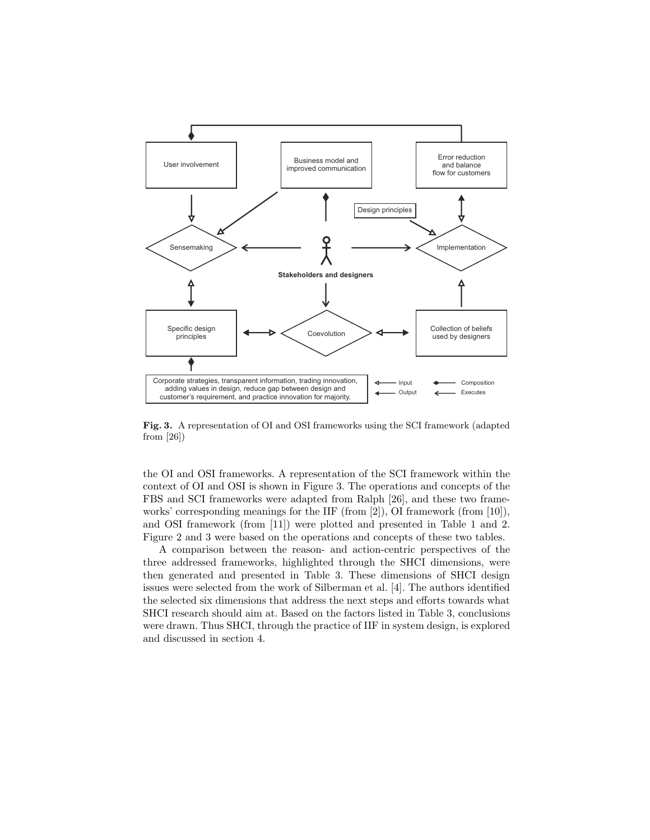

<span id="page-7-0"></span>Fig. 3. A representation of OI and OSI frameworks using the SCI framework (adapted from [\[26\]](#page-15-3))

the OI and OSI frameworks. A representation of the SCI framework within the context of OI and OSI is shown in [Figure 3.](#page-7-0) The operations and concepts of the FBS and SCI frameworks were adapted from Ralph [\[26\]](#page-15-3), and these two frameworks' corresponding meanings for the IIF (from  $[2]$ ), OI framework (from  $[10]$ ), and OSI framework (from [\[11\]](#page-14-4)) were plotted and presented in [Table 1](#page-8-0) and [2.](#page-9-0) [Figure 2](#page-6-0) and [3](#page-7-0) were based on the operations and concepts of these two tables.

A comparison between the reason- and action-centric perspectives of the three addressed frameworks, highlighted through the SHCI dimensions, were then generated and presented in [Table 3.](#page-9-1) These dimensions of SHCI design issues were selected from the work of Silberman et al. [\[4\]](#page-13-3). The authors identified the selected six dimensions that address the next steps and efforts towards what SHCI research should aim at. Based on the factors listed in [Table 3,](#page-9-1) conclusions were drawn. Thus SHCI, through the practice of IIF in system design, is explored and discussed in [section 4.](#page-10-0)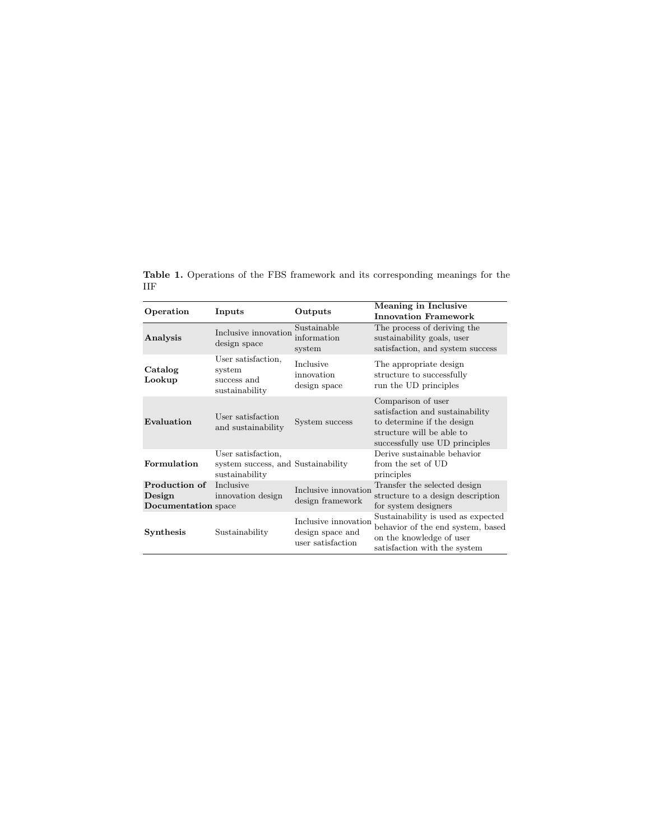<span id="page-8-0"></span>Table 1. Operations of the FBS framework and its corresponding meanings for the IIF

| Operation                                      | Inputs                                                                     | Outputs                                                       | Meaning in Inclusive<br><b>Innovation Framework</b>                                                                                                |
|------------------------------------------------|----------------------------------------------------------------------------|---------------------------------------------------------------|----------------------------------------------------------------------------------------------------------------------------------------------------|
| Analysis                                       | Inclusive innovation<br>design space                                       | Sustainable<br>information<br>system                          | The process of deriving the<br>sustainability goals, user<br>satisfaction, and system success                                                      |
| Catalog<br>Lookup                              | User satisfaction.<br>system<br>success and<br>sustainability              | Inclusive<br>innovation<br>design space                       | The appropriate design<br>structure to successfully<br>run the UD principles                                                                       |
| Evaluation                                     | User satisfaction<br>and sustainability                                    | System success                                                | Comparison of user<br>satisfaction and sustainability<br>to determine if the design<br>structure will be able to<br>successfully use UD principles |
| Formulation                                    | User satisfaction.<br>system success, and Sustainability<br>sustainability |                                                               | Derive sustainable behavior<br>from the set of UD<br>principles                                                                                    |
| Production of<br>Design<br>Documentation space | Inclusive<br>innovation design                                             | Inclusive innovation<br>design framework                      | Transfer the selected design<br>structure to a design description<br>for system designers                                                          |
| <b>Synthesis</b>                               | Sustainability                                                             | Inclusive innovation<br>design space and<br>user satisfaction | Sustainability is used as expected<br>behavior of the end system, based<br>on the knowledge of user<br>satisfaction with the system                |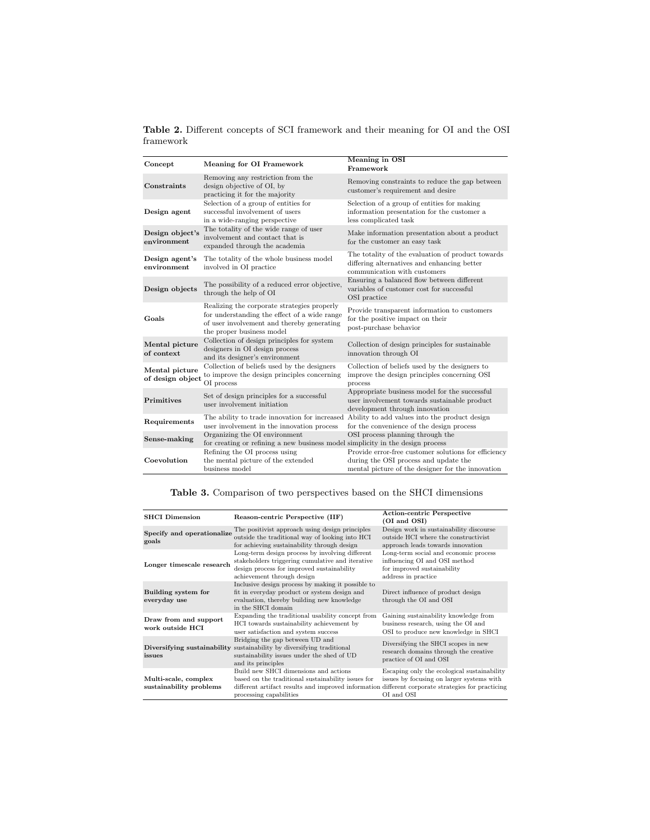<span id="page-9-0"></span>Table 2. Different concepts of SCI framework and their meaning for OI and the OSI framework

| Concept                            | Meaning for OI Framework                                                                                                                                               | Meaning in OSI<br>Framework                                                                                                                        |
|------------------------------------|------------------------------------------------------------------------------------------------------------------------------------------------------------------------|----------------------------------------------------------------------------------------------------------------------------------------------------|
| Constraints                        | Removing any restriction from the<br>design objective of OI, by<br>practicing it for the majority                                                                      | Removing constraints to reduce the gap between<br>customer's requirement and desire                                                                |
| Design agent                       | Selection of a group of entities for<br>successful involvement of users<br>in a wide-ranging perspective                                                               | Selection of a group of entities for making<br>information presentation for the customer a<br>less complicated task                                |
| Design object's<br>environment     | The totality of the wide range of user<br>involvement and contact that is<br>expanded through the academia                                                             | Make information presentation about a product<br>for the customer an easy task                                                                     |
| Design agent's<br>environment      | The totality of the whole business model<br>involved in OI practice                                                                                                    | The totality of the evaluation of product towards<br>differing alternatives and enhancing better<br>communication with customers                   |
| Design objects                     | The possibility of a reduced error objective,<br>through the help of OI                                                                                                | Ensuring a balanced flow between different<br>variables of customer cost for successful<br>OSI practice                                            |
| Goals                              | Realizing the corporate strategies properly<br>for understanding the effect of a wide range<br>of user involvement and thereby generating<br>the proper business model | Provide transparent information to customers<br>for the positive impact on their<br>post-purchase behavior                                         |
| Mental picture<br>of context       | Collection of design principles for system<br>designers in OI design process<br>and its designer's environment                                                         | Collection of design principles for sustainable<br>innovation through OI                                                                           |
| Mental picture<br>of design object | Collection of beliefs used by the designers<br>to improve the design principles concerning<br>OI process                                                               | Collection of beliefs used by the designers to<br>improve the design principles concerning OSI<br>process                                          |
| Primitives                         | Set of design principles for a successful<br>user involvement initiation                                                                                               | Appropriate business model for the successful<br>user involvement towards sustainable product<br>development through innovation                    |
| Requirements                       | The ability to trade innovation for increased<br>user involvement in the innovation process                                                                            | Ability to add values into the product design<br>for the convenience of the design process                                                         |
| Sense-making                       | Organizing the OI environment<br>for creating or refining a new business model simplicity in the design process                                                        | OSI process planning through the                                                                                                                   |
| Coevolution                        | Refining the OI process using<br>the mental picture of the extended<br>business model                                                                                  | Provide error-free customer solutions for efficiency<br>during the OSI process and update the<br>mental picture of the designer for the innovation |

# <span id="page-9-1"></span>Table 3. Comparison of two perspectives based on the SHCI dimensions

| <b>SHCI</b> Dimension       |                                                                                                   | <b>Action-centric Perspective</b>           |  |
|-----------------------------|---------------------------------------------------------------------------------------------------|---------------------------------------------|--|
|                             | Reason-centric Perspective (IIF)                                                                  | (OI and OSI)                                |  |
| Specify and operationalize  | The positivist approach using design principles                                                   | Design work in sustainability discourse     |  |
|                             | outside the traditional way of looking into HCI                                                   | outside HCI where the constructivist        |  |
| goals                       | for achieving sustainability through design                                                       | approach leads towards innovation           |  |
|                             | Long-term design process by involving different                                                   | Long-term social and economic process       |  |
|                             | stakeholders triggering cumulative and iterative                                                  | influencing OI and OSI method               |  |
| Longer timescale research   | design process for improved sustainability                                                        | for improved sustainability                 |  |
|                             | achievement through design                                                                        | address in practice                         |  |
|                             | Inclusive design process by making it possible to                                                 |                                             |  |
| Building system for         | fit in everyday product or system design and                                                      | Direct influence of product design          |  |
| everyday use                | evaluation, thereby building new knowledge                                                        | through the OI and OSI                      |  |
|                             | in the SHCI domain                                                                                |                                             |  |
| Draw from and support       | Expanding the traditional usability concept from                                                  | Gaining sustainability knowledge from       |  |
| work outside HCI            | HCI towards sustainability achievement by                                                         | business research, using the OI and         |  |
|                             | user satisfaction and system success                                                              | OSI to produce new knowledge in SHCI        |  |
|                             | Bridging the gap between UD and                                                                   | Diversifying the SHCI scopes in new         |  |
| Diversifying sustainability | sustainability by diversifying traditional                                                        | research domains through the creative       |  |
| issues                      | sustainability issues under the shed of UD                                                        | practice of OI and OSI                      |  |
|                             | and its principles                                                                                |                                             |  |
|                             | Build new SHCI dimensions and actions                                                             | Escaping only the ecological sustainability |  |
| Multi-scale, complex        | based on the traditional sustainability issues for                                                | issues by focusing on larger systems with   |  |
| sustainability problems     | different artifact results and improved information different corporate strategies for practicing |                                             |  |
|                             | processing capabilities                                                                           | OI and OSI                                  |  |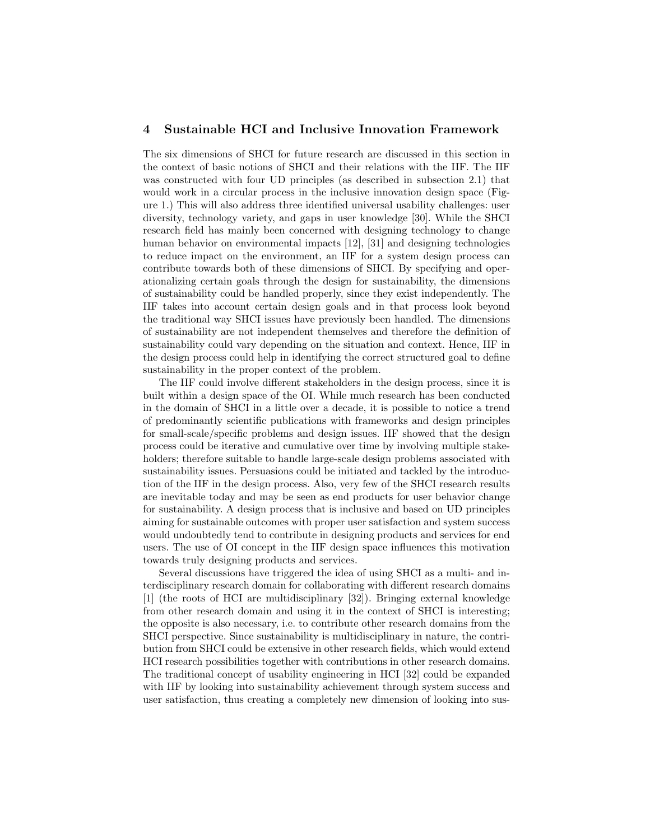### <span id="page-10-0"></span>4 Sustainable HCI and Inclusive Innovation Framework

The six dimensions of SHCI for future research are discussed in this section in the context of basic notions of SHCI and their relations with the IIF. The IIF was constructed with four UD principles (as described in [subsection 2.1\)](#page-2-2) that would work in a circular process in the inclusive innovation design space [\(Fig](#page-2-1)[ure 1.](#page-2-1)) This will also address three identified universal usability challenges: user diversity, technology variety, and gaps in user knowledge [\[30\]](#page-15-7). While the SHCI research field has mainly been concerned with designing technology to change human behavior on environmental impacts [\[12\]](#page-14-5), [\[31\]](#page-15-8) and designing technologies to reduce impact on the environment, an IIF for a system design process can contribute towards both of these dimensions of SHCI. By specifying and operationalizing certain goals through the design for sustainability, the dimensions of sustainability could be handled properly, since they exist independently. The IIF takes into account certain design goals and in that process look beyond the traditional way SHCI issues have previously been handled. The dimensions of sustainability are not independent themselves and therefore the definition of sustainability could vary depending on the situation and context. Hence, IIF in the design process could help in identifying the correct structured goal to define sustainability in the proper context of the problem.

The IIF could involve different stakeholders in the design process, since it is built within a design space of the OI. While much research has been conducted in the domain of SHCI in a little over a decade, it is possible to notice a trend of predominantly scientific publications with frameworks and design principles for small-scale/specific problems and design issues. IIF showed that the design process could be iterative and cumulative over time by involving multiple stakeholders; therefore suitable to handle large-scale design problems associated with sustainability issues. Persuasions could be initiated and tackled by the introduction of the IIF in the design process. Also, very few of the SHCI research results are inevitable today and may be seen as end products for user behavior change for sustainability. A design process that is inclusive and based on UD principles aiming for sustainable outcomes with proper user satisfaction and system success would undoubtedly tend to contribute in designing products and services for end users. The use of OI concept in the IIF design space influences this motivation towards truly designing products and services.

Several discussions have triggered the idea of using SHCI as a multi- and interdisciplinary research domain for collaborating with different research domains [\[1\]](#page-13-0) (the roots of HCI are multidisciplinary [\[32\]](#page-15-9)). Bringing external knowledge from other research domain and using it in the context of SHCI is interesting; the opposite is also necessary, i.e. to contribute other research domains from the SHCI perspective. Since sustainability is multidisciplinary in nature, the contribution from SHCI could be extensive in other research fields, which would extend HCI research possibilities together with contributions in other research domains. The traditional concept of usability engineering in HCI [\[32\]](#page-15-9) could be expanded with IIF by looking into sustainability achievement through system success and user satisfaction, thus creating a completely new dimension of looking into sus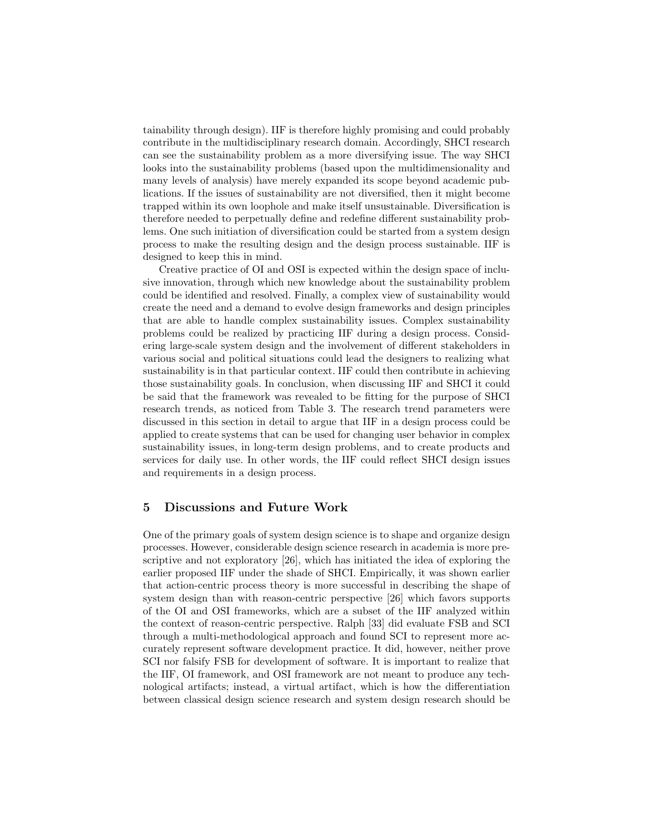tainability through design). IIF is therefore highly promising and could probably contribute in the multidisciplinary research domain. Accordingly, SHCI research can see the sustainability problem as a more diversifying issue. The way SHCI looks into the sustainability problems (based upon the multidimensionality and many levels of analysis) have merely expanded its scope beyond academic publications. If the issues of sustainability are not diversified, then it might become trapped within its own loophole and make itself unsustainable. Diversification is therefore needed to perpetually define and redefine different sustainability problems. One such initiation of diversification could be started from a system design process to make the resulting design and the design process sustainable. IIF is designed to keep this in mind.

Creative practice of OI and OSI is expected within the design space of inclusive innovation, through which new knowledge about the sustainability problem could be identified and resolved. Finally, a complex view of sustainability would create the need and a demand to evolve design frameworks and design principles that are able to handle complex sustainability issues. Complex sustainability problems could be realized by practicing IIF during a design process. Considering large-scale system design and the involvement of different stakeholders in various social and political situations could lead the designers to realizing what sustainability is in that particular context. IIF could then contribute in achieving those sustainability goals. In conclusion, when discussing IIF and SHCI it could be said that the framework was revealed to be fitting for the purpose of SHCI research trends, as noticed from [Table 3.](#page-9-1) The research trend parameters were discussed in this section in detail to argue that IIF in a design process could be applied to create systems that can be used for changing user behavior in complex sustainability issues, in long-term design problems, and to create products and services for daily use. In other words, the IIF could reflect SHCI design issues and requirements in a design process.

# <span id="page-11-0"></span>5 Discussions and Future Work

One of the primary goals of system design science is to shape and organize design processes. However, considerable design science research in academia is more prescriptive and not exploratory [\[26\]](#page-15-3), which has initiated the idea of exploring the earlier proposed IIF under the shade of SHCI. Empirically, it was shown earlier that action-centric process theory is more successful in describing the shape of system design than with reason-centric perspective [\[26\]](#page-15-3) which favors supports of the OI and OSI frameworks, which are a subset of the IIF analyzed within the context of reason-centric perspective. Ralph [\[33\]](#page-15-10) did evaluate FSB and SCI through a multi-methodological approach and found SCI to represent more accurately represent software development practice. It did, however, neither prove SCI nor falsify FSB for development of software. It is important to realize that the IIF, OI framework, and OSI framework are not meant to produce any technological artifacts; instead, a virtual artifact, which is how the differentiation between classical design science research and system design research should be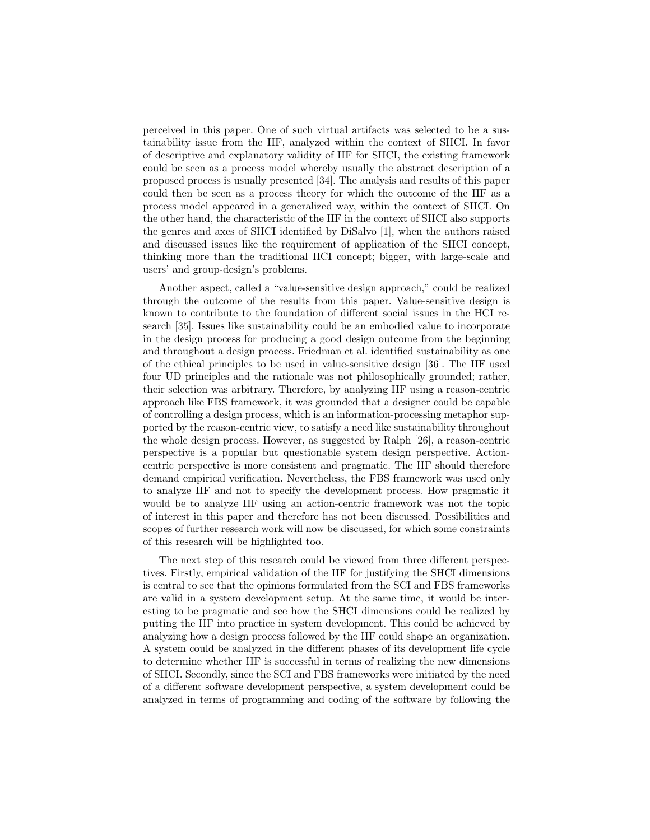perceived in this paper. One of such virtual artifacts was selected to be a sustainability issue from the IIF, analyzed within the context of SHCI. In favor of descriptive and explanatory validity of IIF for SHCI, the existing framework could be seen as a process model whereby usually the abstract description of a proposed process is usually presented [\[34\]](#page-15-11). The analysis and results of this paper could then be seen as a process theory for which the outcome of the IIF as a process model appeared in a generalized way, within the context of SHCI. On the other hand, the characteristic of the IIF in the context of SHCI also supports the genres and axes of SHCI identified by DiSalvo [\[1\]](#page-13-0), when the authors raised and discussed issues like the requirement of application of the SHCI concept, thinking more than the traditional HCI concept; bigger, with large-scale and users' and group-design's problems.

Another aspect, called a "value-sensitive design approach," could be realized through the outcome of the results from this paper. Value-sensitive design is known to contribute to the foundation of different social issues in the HCI research [\[35\]](#page-15-12). Issues like sustainability could be an embodied value to incorporate in the design process for producing a good design outcome from the beginning and throughout a design process. Friedman et al. identified sustainability as one of the ethical principles to be used in value-sensitive design [\[36\]](#page-15-13). The IIF used four UD principles and the rationale was not philosophically grounded; rather, their selection was arbitrary. Therefore, by analyzing IIF using a reason-centric approach like FBS framework, it was grounded that a designer could be capable of controlling a design process, which is an information-processing metaphor supported by the reason-centric view, to satisfy a need like sustainability throughout the whole design process. However, as suggested by Ralph [\[26\]](#page-15-3), a reason-centric perspective is a popular but questionable system design perspective. Actioncentric perspective is more consistent and pragmatic. The IIF should therefore demand empirical verification. Nevertheless, the FBS framework was used only to analyze IIF and not to specify the development process. How pragmatic it would be to analyze IIF using an action-centric framework was not the topic of interest in this paper and therefore has not been discussed. Possibilities and scopes of further research work will now be discussed, for which some constraints of this research will be highlighted too.

The next step of this research could be viewed from three different perspectives. Firstly, empirical validation of the IIF for justifying the SHCI dimensions is central to see that the opinions formulated from the SCI and FBS frameworks are valid in a system development setup. At the same time, it would be interesting to be pragmatic and see how the SHCI dimensions could be realized by putting the IIF into practice in system development. This could be achieved by analyzing how a design process followed by the IIF could shape an organization. A system could be analyzed in the different phases of its development life cycle to determine whether IIF is successful in terms of realizing the new dimensions of SHCI. Secondly, since the SCI and FBS frameworks were initiated by the need of a different software development perspective, a system development could be analyzed in terms of programming and coding of the software by following the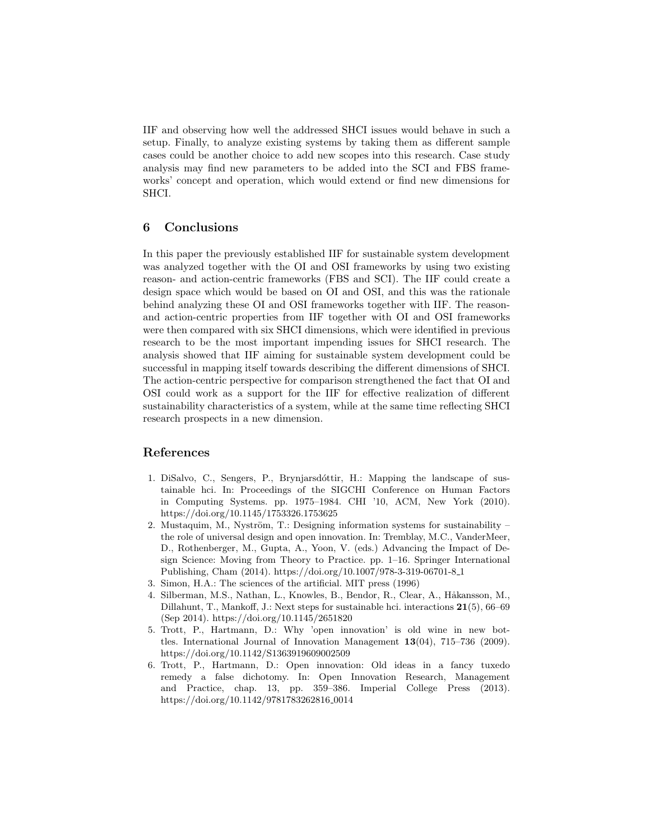IIF and observing how well the addressed SHCI issues would behave in such a setup. Finally, to analyze existing systems by taking them as different sample cases could be another choice to add new scopes into this research. Case study analysis may find new parameters to be added into the SCI and FBS frameworks' concept and operation, which would extend or find new dimensions for SHCI.

# <span id="page-13-4"></span>6 Conclusions

In this paper the previously established IIF for sustainable system development was analyzed together with the OI and OSI frameworks by using two existing reason- and action-centric frameworks (FBS and SCI). The IIF could create a design space which would be based on OI and OSI, and this was the rationale behind analyzing these OI and OSI frameworks together with IIF. The reasonand action-centric properties from IIF together with OI and OSI frameworks were then compared with six SHCI dimensions, which were identified in previous research to be the most important impending issues for SHCI research. The analysis showed that IIF aiming for sustainable system development could be successful in mapping itself towards describing the different dimensions of SHCI. The action-centric perspective for comparison strengthened the fact that OI and OSI could work as a support for the IIF for effective realization of different sustainability characteristics of a system, while at the same time reflecting SHCI research prospects in a new dimension.

# References

- <span id="page-13-0"></span>1. DiSalvo, C., Sengers, P., Brynjarsdóttir, H.: Mapping the landscape of sustainable hci. In: Proceedings of the SIGCHI Conference on Human Factors in Computing Systems. pp. 1975–1984. CHI '10, ACM, New York (2010). <https://doi.org/10.1145/1753326.1753625>
- <span id="page-13-1"></span>2. Mustaquim, M., Nyström, T.: Designing information systems for sustainability  $$ the role of universal design and open innovation. In: Tremblay, M.C., VanderMeer, D., Rothenberger, M., Gupta, A., Yoon, V. (eds.) Advancing the Impact of Design Science: Moving from Theory to Practice. pp. 1–16. Springer International Publishing, Cham (2014). [https://doi.org/10.1007/978-3-319-06701-8](https://doi.org/10.1007/978-3-319-06701-8_1) 1
- <span id="page-13-2"></span>3. Simon, H.A.: The sciences of the artificial. MIT press (1996)
- <span id="page-13-3"></span>4. Silberman, M.S., Nathan, L., Knowles, B., Bendor, R., Clear, A., Håkansson, M., Dillahunt, T., Mankoff, J.: Next steps for sustainable hci. interactions 21(5), 66–69 (Sep 2014).<https://doi.org/10.1145/2651820>
- <span id="page-13-5"></span>5. Trott, P., Hartmann, D.: Why 'open innovation' is old wine in new bottles. International Journal of Innovation Management 13(04), 715–736 (2009). <https://doi.org/10.1142/S1363919609002509>
- <span id="page-13-6"></span>6. Trott, P., Hartmann, D.: Open innovation: Old ideas in a fancy tuxedo remedy a false dichotomy. In: Open Innovation Research, Management and Practice, chap. 13, pp. 359–386. Imperial College Press (2013). [https://doi.org/10.1142/9781783262816](https://doi.org/10.1142/9781783262816_0014) 0014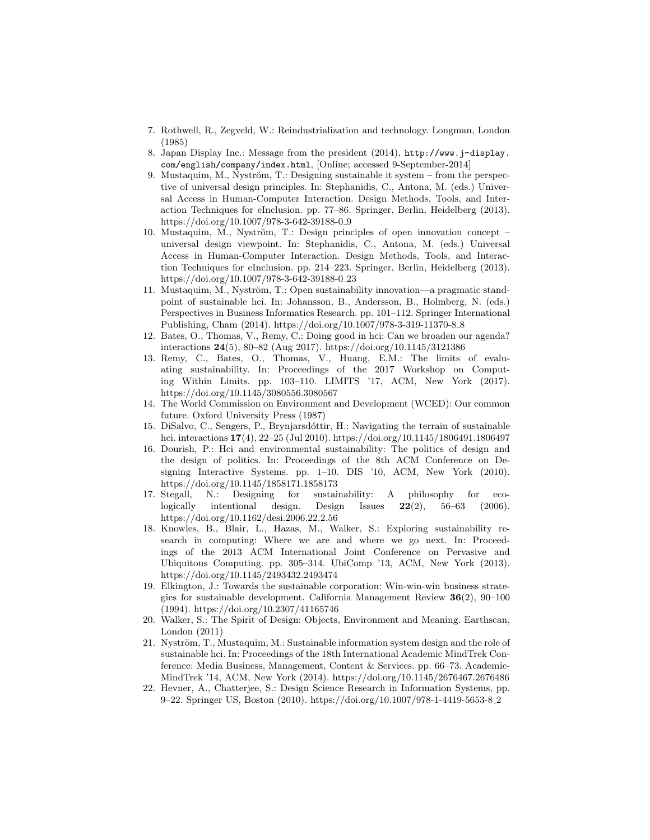- <span id="page-14-0"></span>7. Rothwell, R., Zegveld, W.: Reindustrialization and technology. Longman, London (1985)
- <span id="page-14-1"></span>8. Japan Display Inc.: Message from the president (2014), [http://www.j-display.](http://www.j-display.com/english/company/index.html) [com/english/company/index.html](http://www.j-display.com/english/company/index.html), [Online; accessed 9-September-2014]
- <span id="page-14-2"></span>9. Mustaquim, M., Nyström, T.: Designing sustainable it system – from the perspective of universal design principles. In: Stephanidis, C., Antona, M. (eds.) Universal Access in Human-Computer Interaction. Design Methods, Tools, and Interaction Techniques for eInclusion. pp. 77–86. Springer, Berlin, Heidelberg (2013). [https://doi.org/10.1007/978-3-642-39188-0](https://doi.org/10.1007/978-3-642-39188-0_9)<sub>-9</sub>
- <span id="page-14-3"></span>10. Mustaquim, M., Nyström, T.: Design principles of open innovation concept – universal design viewpoint. In: Stephanidis, C., Antona, M. (eds.) Universal Access in Human-Computer Interaction. Design Methods, Tools, and Interaction Techniques for eInclusion. pp. 214–223. Springer, Berlin, Heidelberg (2013). [https://doi.org/10.1007/978-3-642-39188-0](https://doi.org/10.1007/978-3-642-39188-0_23)<sub>-23</sub>
- <span id="page-14-4"></span>11. Mustaquim, M., Nyström, T.: Open sustainability innovation—a pragmatic standpoint of sustainable hci. In: Johansson, B., Andersson, B., Holmberg, N. (eds.) Perspectives in Business Informatics Research. pp. 101–112. Springer International Publishing, Cham (2014). [https://doi.org/10.1007/978-3-319-11370-8](https://doi.org/10.1007/978-3-319-11370-8_8) 8
- <span id="page-14-5"></span>12. Bates, O., Thomas, V., Remy, C.: Doing good in hci: Can we broaden our agenda? interactions 24(5), 80–82 (Aug 2017).<https://doi.org/10.1145/3121386>
- <span id="page-14-6"></span>13. Remy, C., Bates, O., Thomas, V., Huang, E.M.: The limits of evaluating sustainability. In: Proceedings of the 2017 Workshop on Computing Within Limits. pp. 103–110. LIMITS '17, ACM, New York (2017). <https://doi.org/10.1145/3080556.3080567>
- <span id="page-14-7"></span>14. The World Commission on Environment and Development (WCED): Our common future. Oxford University Press (1987)
- <span id="page-14-8"></span>15. DiSalvo, C., Sengers, P., Brynjarsd´ottir, H.: Navigating the terrain of sustainable hci. interactions 17(4), 22–25 (Jul 2010).<https://doi.org/10.1145/1806491.1806497>
- <span id="page-14-9"></span>16. Dourish, P.: Hci and environmental sustainability: The politics of design and the design of politics. In: Proceedings of the 8th ACM Conference on Designing Interactive Systems. pp. 1–10. DIS '10, ACM, New York (2010). <https://doi.org/10.1145/1858171.1858173>
- <span id="page-14-10"></span>17. Stegall, N.: Designing for sustainability: A philosophy for ecologically intentional design. Design Issues 22(2), 56–63 (2006). <https://doi.org/10.1162/desi.2006.22.2.56>
- <span id="page-14-11"></span>18. Knowles, B., Blair, L., Hazas, M., Walker, S.: Exploring sustainability research in computing: Where we are and where we go next. In: Proceedings of the 2013 ACM International Joint Conference on Pervasive and Ubiquitous Computing. pp. 305–314. UbiComp '13, ACM, New York (2013). <https://doi.org/10.1145/2493432.2493474>
- <span id="page-14-12"></span>19. Elkington, J.: Towards the sustainable corporation: Win-win-win business strategies for sustainable development. California Management Review 36(2), 90–100 (1994).<https://doi.org/10.2307/41165746>
- <span id="page-14-13"></span>20. Walker, S.: The Spirit of Design: Objects, Environment and Meaning. Earthscan, London (2011)
- <span id="page-14-14"></span>21. Nyström, T., Mustaquim, M.: Sustainable information system design and the role of sustainable hci. In: Proceedings of the 18th International Academic MindTrek Conference: Media Business, Management, Content & Services. pp. 66–73. Academic-MindTrek '14, ACM, New York (2014).<https://doi.org/10.1145/2676467.2676486>
- <span id="page-14-15"></span>22. Hevner, A., Chatterjee, S.: Design Science Research in Information Systems, pp. 9–22. Springer US, Boston (2010). [https://doi.org/10.1007/978-1-4419-5653-8](https://doi.org/10.1007/978-1-4419-5653-8_2) 2